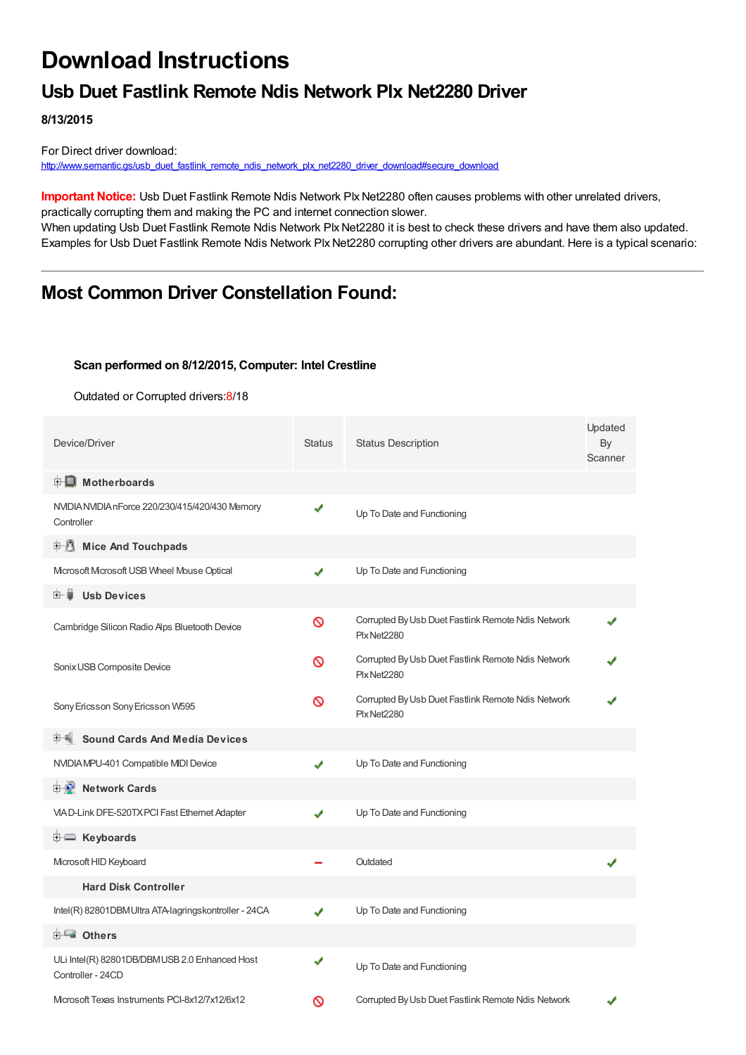# **Download Instructions**

### **Usb Duet Fastlink Remote Ndis Network Plx Net2280 Driver**

**8/13/2015**

For Direct driver download: [http://www.semantic.gs/usb\\_duet\\_fastlink\\_remote\\_ndis\\_network\\_plx\\_net2280\\_driver\\_download#secure\\_download](http://www.semantic.gs/usb_duet_fastlink_remote_ndis_network_plx_net2280_driver_download#secure_download)

**Important Notice:** Usb Duet Fastlink Remote Ndis Network Plx Net2280 often causes problems with other unrelated drivers, practically corrupting them and making the PC and internet connection slower.

When updating Usb Duet Fastlink Remote Ndis Network Plx Net2280 it is best to check these drivers and have them also updated. Examples for Usb Duet Fastlink Remote Ndis Network Plx Net2280 corrupting other drivers are abundant. Here is a typical scenario:

### **Most Common Driver Constellation Found:**

#### **Scan performed on 8/12/2015, Computer: Intel Crestline**

Outdated or Corrupted drivers:8/18

| Device/Driver                                                      | <b>Status</b> | <b>Status Description</b>                                         | Updated<br>By<br>Scanner |
|--------------------------------------------------------------------|---------------|-------------------------------------------------------------------|--------------------------|
| <b>E</b> Motherboards                                              |               |                                                                   |                          |
| NVIDIA NVIDIA nForce 220/230/415/420/430 Memory<br>Controller      | ✔             | Up To Date and Functioning                                        |                          |
| <b>E.</b> Mice And Touchpads                                       |               |                                                                   |                          |
| Microsoft Microsoft USB Wheel Mouse Optical                        | ✔             | Up To Date and Functioning                                        |                          |
| Ė~ U<br><b>Usb Devices</b>                                         |               |                                                                   |                          |
| Cambridge Silicon Radio Aps Bluetooth Device                       | Ø             | Corrupted By Usb Duet Fastlink Remote Ndis Network<br>PlxNet2280  |                          |
| Sonix USB Composite Device                                         | ଷ             | Corrupted By Usb Duet Fastlink Remote Ndis Network<br>Plx Net2280 |                          |
| Sony Ericsson Sony Ericsson W595                                   | ଷ             | Corrupted By Usb Duet Fastlink Remote Ndis Network<br>PlxNet2280  |                          |
| <b>Sound Cards And Media Devices</b>                               |               |                                                                   |                          |
| NVIDIA MPU-401 Compatible MIDI Device                              | ✔             | Up To Date and Functioning                                        |                          |
| <b>D</b> Network Cards                                             |               |                                                                   |                          |
| VIAD-Link DFE-520TX PCI Fast Ethernet Adapter                      | ✔             | Up To Date and Functioning                                        |                          |
| <b>E</b> Keyboards                                                 |               |                                                                   |                          |
| Microsoft HID Keyboard                                             |               | Outdated                                                          |                          |
| <b>Hard Disk Controller</b>                                        |               |                                                                   |                          |
| Intel(R) 82801DBM Ultra ATA-lagringskontroller - 24CA              | ✔             | Up To Date and Functioning                                        |                          |
| <b>E</b> Others                                                    |               |                                                                   |                          |
| ULi Intel(R) 82801DB/DBMUSB 2.0 Enhanced Host<br>Controller - 24CD | √             | Up To Date and Functioning                                        |                          |
| Microsoft Texas Instruments PCI-8x12/7x12/6x12                     | Ø             | Corrupted By Usb Duet Fastlink Remote Ndis Network                |                          |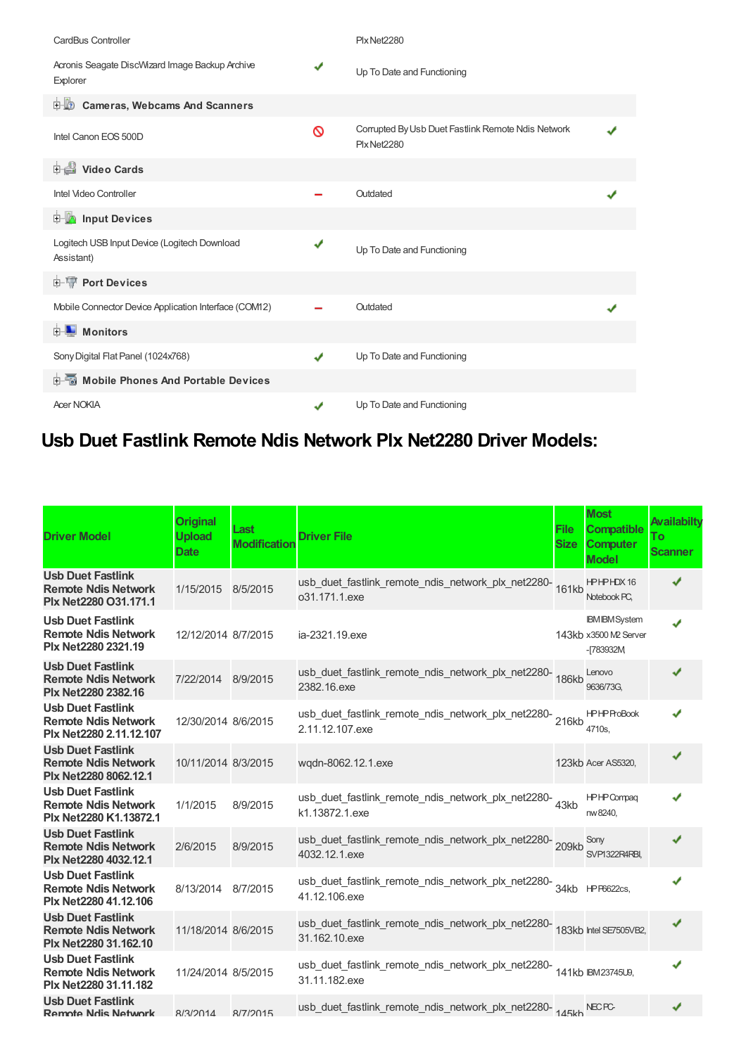| CardBus Controller                                          |   | Plx Net2280                                                       |  |
|-------------------------------------------------------------|---|-------------------------------------------------------------------|--|
| Acronis Seagate DiscWizard Image Backup Archive<br>Explorer | √ | Up To Date and Functioning                                        |  |
| <b>Cameras, Webcams And Scanners</b><br>由业》                 |   |                                                                   |  |
| Intel Canon EOS 500D                                        | ଷ | Corrupted By Usb Duet Fastlink Remote Ndis Network<br>Plx Net2280 |  |
| Video Cards                                                 |   |                                                                   |  |
| Intel Video Controller                                      |   | Outdated                                                          |  |
| <b>Devices</b> Input Devices                                |   |                                                                   |  |
| Logitech USB Input Device (Logitech Download<br>Assistant)  | ✔ | Up To Date and Functioning                                        |  |
| <b>E-TP</b> Port Devices                                    |   |                                                                   |  |
| Mobile Connector Device Application Interface (COM12)       |   | Outdated                                                          |  |
| Monitors<br>由…                                              |   |                                                                   |  |
| Sony Digital Flat Panel (1024x768)                          | ✔ | Up To Date and Functioning                                        |  |
| Mobile Phones And Portable Devices<br>中…                    |   |                                                                   |  |
| <b>Acer NOKIA</b>                                           |   | Up To Date and Functioning                                        |  |

## **Usb Duet Fastlink Remote Ndis Network Plx Net2280 Driver Models:**

| <b>Driver Model</b>                                                               | <b>Original</b><br><b>Upload</b><br>Date | Last<br><b>Modification</b> | <b>Driver File</b>                                                                            | File<br><b>Size</b> | <b>Most</b><br><b>Compatible</b><br><b>Computer</b><br><b>Model</b> | <b>Availabilty</b><br>To<br><b>Scanner</b> |
|-----------------------------------------------------------------------------------|------------------------------------------|-----------------------------|-----------------------------------------------------------------------------------------------|---------------------|---------------------------------------------------------------------|--------------------------------------------|
| <b>Usb Duet Fastlink</b><br><b>Remote Ndis Network</b><br>Plx Net2280 O31.171.1   | 1/15/2015 8/5/2015                       |                             | usb_duet_fastlink_remote_ndis_network_plx_net2280-<br>161kb<br>o31.171.1.exe                  |                     | <b>HPHPHDX16</b><br>Notebook PC.                                    | ✔                                          |
| <b>Usb Duet Fastlink</b><br><b>Remote Ndis Network</b><br>Plx Net2280 2321.19     | 12/12/2014 8/7/2015                      |                             | ia-2321.19.exe                                                                                |                     | <b>IBM IBM System</b><br>143kb x3500 M2 Server<br>$-783932M$        | J                                          |
| <b>Usb Duet Fastlink</b><br><b>Remote Ndis Network</b><br>Plx Net2280 2382.16     | 7/22/2014 8/9/2015                       |                             | usb_duet_fastlink_remote_ndis_network_plx_net2280-<br>186kb<br>2382.16.exe                    |                     | Lenovo<br>9636/73G.                                                 |                                            |
| <b>Usb Duet Fastlink</b><br><b>Remote Ndis Network</b><br>Plx Net2280 2.11.12.107 | 12/30/2014 8/6/2015                      |                             | usb_duet_fastlink_remote_ndis_network_plx_net2280-216kb<br>2.11.12.107.exe                    |                     | <b>HPHPProBook</b><br>4710s,                                        |                                            |
| <b>Usb Duet Fastlink</b><br><b>Remote Ndis Network</b><br>Plx Net2280 8062.12.1   | 10/11/2014 8/3/2015                      |                             | wgdn-8062.12.1.exe                                                                            |                     | 123kb Acer AS5320,                                                  | ✔                                          |
| <b>Usb Duet Fastlink</b><br><b>Remote Ndis Network</b><br>Plx Net2280 K1.13872.1  | 1/1/2015                                 | 8/9/2015                    | usb_duet_fastlink_remote_ndis_network_plx_net2280-43kb<br>k1.13872.1.exe                      |                     | <b>HPHPCompaq</b><br>nw 8240,                                       |                                            |
| <b>Usb Duet Fastlink</b><br><b>Remote Ndis Network</b><br>Plx Net2280 4032.12.1   | 2/6/2015                                 | 8/9/2015                    | usb_duet_fastlink_remote_ndis_network_plx_net2280-209kb<br>4032.12.1.exe                      |                     | Sony<br>SVP1322R4RBI,                                               | J                                          |
| <b>Usb Duet Fastlink</b><br><b>Remote Ndis Network</b><br>Plx Net2280 41.12.106   | 8/13/2014 8/7/2015                       |                             | usb_duet_fastlink_remote_ndis_network_plx_net2280-<br>34kb HPF6622cs,<br>41.12.106.exe        |                     |                                                                     | J                                          |
| <b>Usb Duet Fastlink</b><br><b>Remote Ndis Network</b><br>Plx Net2280 31.162.10   | 11/18/2014 8/6/2015                      |                             | usb_duet_fastlink_remote_ndis_network_plx_net2280-<br>183kb Intel SE7505VB2,<br>31.162.10.exe |                     |                                                                     | ✔                                          |
| <b>Usb Duet Fastlink</b><br><b>Remote Ndis Network</b><br>Plx Net2280 31.11.182   | 11/24/2014 8/5/2015                      |                             | usb_duet_fastlink_remote_ndis_network_plx_net2280-<br>141kb IBM23745U9,<br>31.11.182.exe      |                     |                                                                     | J                                          |
| <b>Usb Duet Fastlink</b><br>Remote Ndis Network                                   | 8/3/2014                                 | 8/7/2015                    | usb_duet_fastlink_remote_ndis_network_plx_net2280-145kb NECPC-                                |                     |                                                                     |                                            |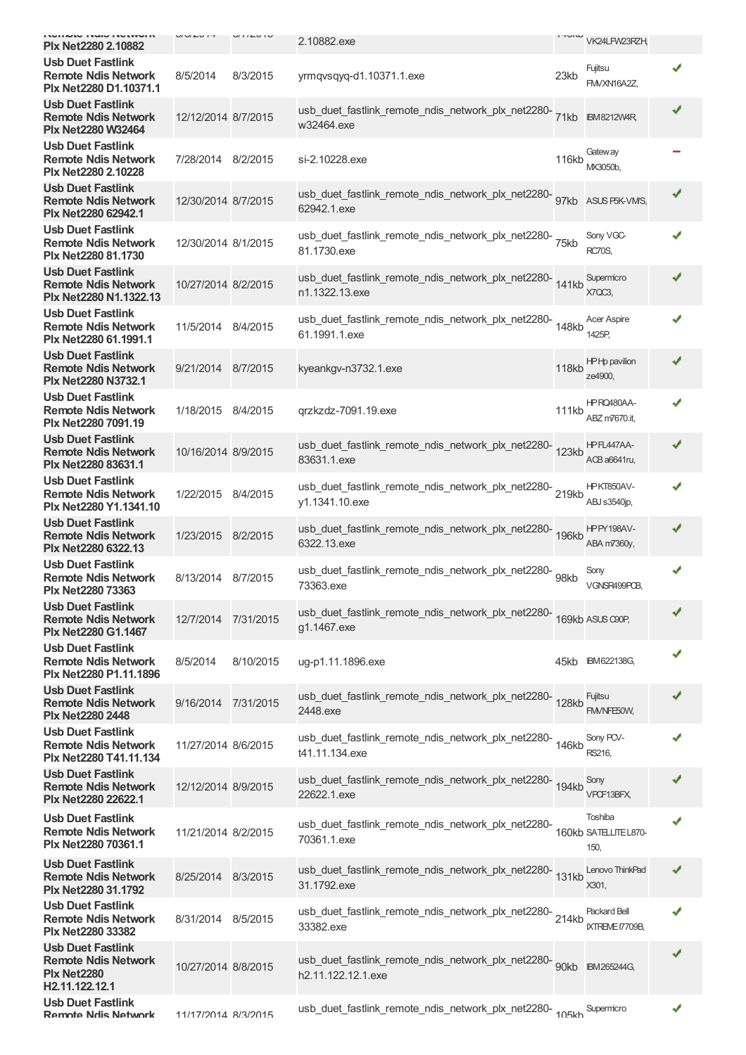| <b>INTERNATION CONTROL</b><br>Plx Net2280 2.10882                                              | UUUUU               | U112U1U   | 2.10882.exe                                                                              |       | VK24LFW23RZH,                   |   |
|------------------------------------------------------------------------------------------------|---------------------|-----------|------------------------------------------------------------------------------------------|-------|---------------------------------|---|
| <b>Usb Duet Fastlink</b><br><b>Remote Ndis Network</b><br>Plx Net2280 D1.10371.1               | 8/5/2014            | 8/3/2015  | yrmqvsqyq-d1.10371.1.exe                                                                 | 23kb  | Fujitsu<br>FM/XN16A2Z,          |   |
| <b>Usb Duet Fastlink</b><br><b>Remote Ndis Network</b><br><b>Plx Net2280 W32464</b>            | 12/12/2014 8/7/2015 |           | usb_duet_fastlink_remote_ndis_network_plx_net2280-<br>71kb<br>w32464.exe                 |       | <b>IBM8212W4R</b>               |   |
| <b>Usb Duet Fastlink</b><br><b>Remote Ndis Network</b><br>Plx Net2280 2.10228                  | 7/28/2014 8/2/2015  |           | si-2.10228.exe                                                                           | 116kb | Gateway<br>MX3050b.             |   |
| <b>Usb Duet Fastlink</b><br><b>Remote Ndis Network</b><br>Plx Net2280 62942.1                  | 12/30/2014 8/7/2015 |           | usb_duet_fastlink_remote_ndis_network_plx_net2280-<br>97kb<br>62942.1.exe                |       | ASUS P5K-VM/S,                  |   |
| <b>Usb Duet Fastlink</b><br><b>Remote Ndis Network</b><br>Plx Net2280 81.1730                  | 12/30/2014 8/1/2015 |           | usb_duet_fastlink_remote_ndis_network_plx_net2280-<br>75kb<br>81.1730.exe                |       | Sony VGC-<br><b>RC70S,</b>      | ✔ |
| <b>Usb Duet Fastlink</b><br><b>Remote Ndis Network</b><br>Plx Net2280 N1.1322.13               | 10/27/2014 8/2/2015 |           | usb_duet_fastlink_remote_ndis_network_plx_net2280-<br>141kb<br>n1.1322.13.exe            |       | Supermicro<br>X7QC3,            | ✔ |
| <b>Usb Duet Fastlink</b><br><b>Remote Ndis Network</b><br>Plx Net2280 61.1991.1                | 11/5/2014 8/4/2015  |           | usb_duet_fastlink_remote_ndis_network_plx_net2280-<br>148kb<br>61.1991.1.exe             |       | <b>Acer Aspire</b><br>1425P,    | ✔ |
| <b>Usb Duet Fastlink</b><br><b>Remote Ndis Network</b><br><b>Plx Net2280 N3732.1</b>           | 9/21/2014 8/7/2015  |           | kyeankgv-n3732.1.exe                                                                     | 118kb | HP Hp pavilion<br>ze4900,       |   |
| <b>Usb Duet Fastlink</b><br><b>Remote Ndis Network</b><br>Plx Net2280 7091.19                  | 1/18/2015 8/4/2015  |           | grzkzdz-7091.19.exe                                                                      | 111kb | HPRQ480AA-<br>ABZ m7670.it,     |   |
| <b>Usb Duet Fastlink</b><br><b>Remote Ndis Network</b><br>Plx Net2280 83631.1                  | 10/16/2014 8/9/2015 |           | usb_duet_fastlink_remote_ndis_network_plx_net2280-<br>123kb<br>83631.1.exe               |       | HPFL447AA-<br>ACB a6641ru,      |   |
| <b>Usb Duet Fastlink</b><br><b>Remote Ndis Network</b><br>Plx Net2280 Y1.1341.10               | 1/22/2015 8/4/2015  |           | usb_duet_fastlink_remote_ndis_network_plx_net2280-219kb<br>y1.1341.10.exe                |       | HPKT850AV-<br>ABJ s3540jp,      | ✔ |
| <b>Usb Duet Fastlink</b><br><b>Remote Ndis Network</b><br><b>Plx Net2280 6322.13</b>           | 1/23/2015 8/2/2015  |           | usb_duet_fastlink_remote_ndis_network_plx_net2280-<br>196kb<br>6322.13.exe               |       | HPPY198AV-<br>ABA m7360y,       | ✔ |
| <b>Usb Duet Fastlink</b><br><b>Remote Ndis Network</b><br>Plx Net2280 73363                    | 8/13/2014 8/7/2015  |           | usb_duet_fastlink_remote_ndis_network_plx_net2280-<br>98kb<br>73363.exe                  |       | Sony<br>VGNSR499POB             |   |
| <b>Usb Duet Fastlink</b><br><b>Remote Ndis Network</b><br>Plx Net2280 G1.1467                  | 12/7/2014 7/31/2015 |           | usb_duet_fastlink_remote_ndis_network_plx_net2280-<br>169kb ASUS C90P,<br>g1.1467.exe    |       |                                 |   |
| <b>Usb Duet Fastlink</b><br><b>Remote Ndis Network</b><br>Plx Net2280 P1.11.1896               | 8/5/2014            | 8/10/2015 | ug-p1.11.1896.exe                                                                        | 45kb  | IBM 622138G,                    |   |
| <b>Usb Duet Fastlink</b><br><b>Remote Ndis Network</b><br><b>Plx Net2280 2448</b>              | 9/16/2014           | 7/31/2015 | usb_duet_fastlink_remote_ndis_network_plx_net2280-<br>128kb<br>2448.exe                  |       | Fujitsu<br>FM/NFE50W,           |   |
| <b>Usb Duet Fastlink</b><br><b>Remote Ndis Network</b><br>Plx Net2280 T41.11.134               | 11/27/2014 8/6/2015 |           | usb_duet_fastlink_remote_ndis_network_plx_net2280-<br>146kb<br>t41.11.134.exe            |       | Sony PCV-<br>RS216,             |   |
| <b>Usb Duet Fastlink</b><br><b>Remote Ndis Network</b><br>Plx Net2280 22622.1                  | 12/12/2014 8/9/2015 |           | usb_duet_fastlink_remote_ndis_network_plx_net2280-<br>194kb<br>22622.1.exe               |       | Sony<br>VPCF13BFX,              | ✔ |
| <b>Usb Duet Fastlink</b><br><b>Remote Ndis Network</b><br>Plx Net2280 70361.1                  | 11/21/2014 8/2/2015 |           | usb_duet_fastlink_remote_ndis_network_plx_net2280-<br>160kb SATELITEL870-<br>70361.1.exe |       | Toshiba<br>150,                 |   |
| <b>Usb Duet Fastlink</b><br><b>Remote Ndis Network</b><br>Plx Net2280 31.1792                  | 8/25/2014 8/3/2015  |           | usb_duet_fastlink_remote_ndis_network_plx_net2280-<br>131kb<br>31.1792.exe               |       | Lenovo ThinkPad<br>X301,        |   |
| <b>Usb Duet Fastlink</b><br><b>Remote Ndis Network</b><br><b>Plx Net2280 33382</b>             | 8/31/2014 8/5/2015  |           | usb_duet_fastlink_remote_ndis_network_plx_net2280-214kb<br>33382.exe                     |       | Packard Bell<br>IXTREME 17709B, |   |
| <b>Usb Duet Fastlink</b><br><b>Remote Ndis Network</b><br><b>Plx Net2280</b><br>H2.11.122.12.1 | 10/27/2014 8/8/2015 |           | usb_duet_fastlink_remote_ndis_network_plx_net2280-<br>90kb<br>h2.11.122.12.1.exe         |       | <b>IBM265244G.</b>              |   |
| <b>Usb Duet Fastlink</b><br>Remote Ndis Network                                                | 11/17/2014 8/3/2015 |           | usb_duet_fastlink_remote_ndis_network_plx_net2280-405kb Supermicro                       |       |                                 | ✔ |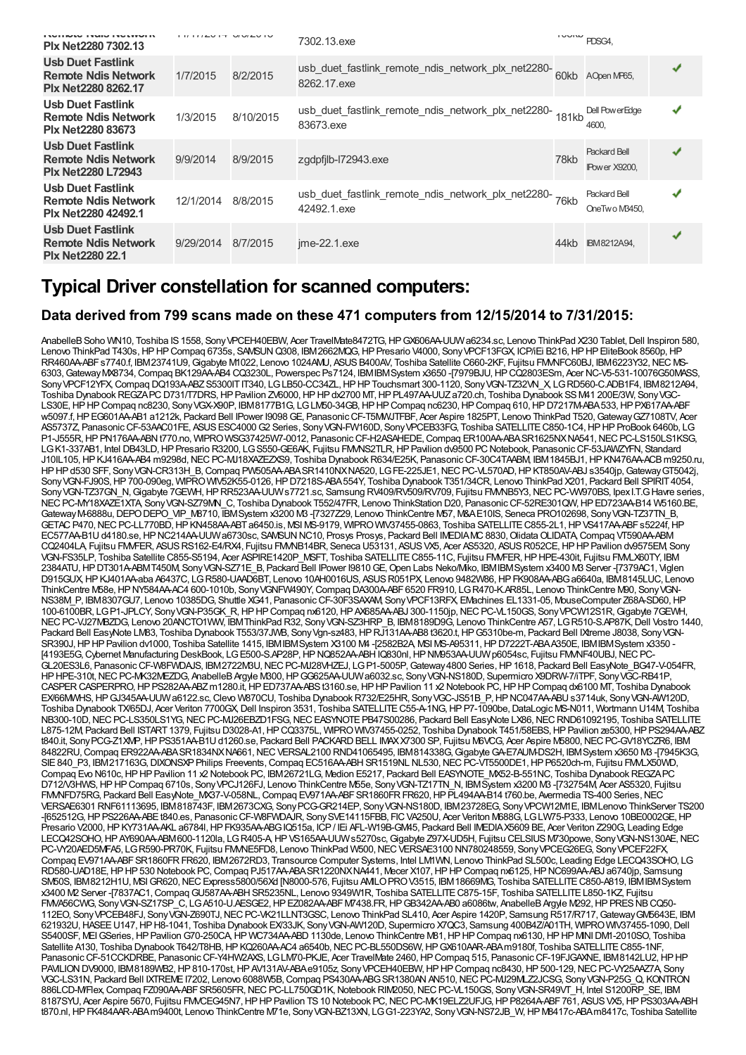| Plx Net2280 7302.13                                                                  |           | ט וים שעוט | 7302.13.exe                                                              | <b>I VUIW</b> | PDSG4.                               |   |
|--------------------------------------------------------------------------------------|-----------|------------|--------------------------------------------------------------------------|---------------|--------------------------------------|---|
| <b>Usb Duet Fastlink</b><br><b>Remote Ndis Network</b><br><b>Plx Net2280 8262.17</b> | 1/7/2015  | 8/2/2015   | usb_duet_fastlink_remote_ndis_network_plx_net2280-60kb<br>8262.17 exe    |               | AOpen MP65,                          | ✔ |
| <b>Usb Duet Fastlink</b><br><b>Remote Ndis Network</b><br><b>Plx Net2280 83673</b>   | 1/3/2015  | 8/10/2015  | usb_duet_fastlink_remote_ndis_network_plx_net2280-<br>181kb<br>83673.exe |               | Dell PowerEdge<br>4600.              |   |
| <b>Usb Duet Fastlink</b><br><b>Remote Ndis Network</b><br><b>Plx Net2280 L72943</b>  | 9/9/2014  | 8/9/2015   | zgdpfilb-l72943.exe                                                      | 78kb          | <b>Packard Bell</b><br>IPower X9200. |   |
| <b>Usb Duet Fastlink</b><br><b>Remote Ndis Network</b><br><b>Plx Net2280 42492.1</b> | 12/1/2014 | 8/8/2015   | usb_duet_fastlink_remote_ndis_network_plx_net2280-76kb<br>42492.1.exe    |               | <b>Packard Bell</b><br>OneTwo M3450. | J |
| <b>Usb Duet Fastlink</b><br><b>Remote Ndis Network</b><br><b>Plx Net2280 22.1</b>    | 9/29/2014 | 8/7/2015   | $ime-22.1$ .exe                                                          | 44kb          | <b>IBM8212A94.</b>                   |   |

## **Typical Driver constellation for scanned computers:**

#### **Data derived from 799 scans made on these 471 computers from 12/15/2014 to 7/31/2015:**

AnabelleB Soho WN10, Toshiba IS 1558, Sony VPCEH40EBW, Acer TravelMate8472TG, HP GX606AA-UUW a6234.sc, Lenovo ThinkPad X230 Tablet, Dell Inspiron 580, Lenovo ThinkPad T430s, HP HP Compaq 6735s, SAMSUN Q308, IBM 2662MQG, HP Presario V4000, Sony VPCF13FGX, ICP/iEi B216, HP HP EliteBook 8560p, HP RR460AA-ABFs7740.f, IBM23741U9, Gigabyte M1022, Lenovo 1024AMU, ASUS B400AV, Toshiba Satellite C660-2KF, Fujitsu FMMFC60BJ, IBM6223Y32, NEC MS-6303,GatewayMX8734,Compaq BK129AA-AB4 CQ3230L, Powerspec Ps7124, IBMIBMSystem x3650 -[7979BJU,HPCQ2803ESm, Acer NC-V5-531-10076G50MASS, SonyVPCF12YFX,Compaq DQ193A-ABZS5300ITIT340, LGLB50-CC34ZL,HPHPTouchsmart 300-1120, SonyVGN-TZ32VN\_X, LGRD560-C.ADB1F4, IBM8212A94, Toshiba DynabookREGZAPCD731/T7DRS,HPPavilion ZV6000,HPHPdx2700 MT,HPPL497AA-UUZa720.ch, Toshiba Dynabook SSM41 200E/3W, SonyVGC-LS30E,HPHPCompaq nc8230, SonyVGX-X90P, IBM8177B1G, LGLM50-34GB,HPHPCompaq nc6230,HPCompaq 610,HPD7217M-ABA533,HPPX617AA-ABF w5097.f,HPEG601AA-AB1 a1212k, Packard Bell IPower I9098GE, PanasonicCF-T5MWJTFBF, Acer Aspire 1825PT, Lenovo ThinkPad T520,GatewayGZ7108TV, Acer AS5737Z, PanasonicCF-53AAC01FE, ASUSESC4000G2 Series, SonyVGN-FW160D, SonyVPCEB33FG, Toshiba SATELLITEC850-1C4,HPHPProBook 6460b, LG P1-J555R, HP PN176AA-ABN t770.no, WIPRO WSG37425W7-0012, Panasonic CF-H2ASAHEDE, Compaq ER100AA-ABA SR1625NXNA541, NEC PC-LS150LS1KSG, LGK1-337AB1, Intel DB43LD, HP Presario R3200, LGS550-GE6AK, Fujitsu FMMS2TLR, HP Pavilion dv9500 PC Notebook, Panasonic CF-53JAWZYFN, Standard J10IL105, HP KJ416AA-AB4 m9298d, NEC PC-MJ18XAZEZXS9, Toshiba Dynabook R634/E25K, Panasonic CF-30C4TAABM, IBM1845BJ1, HP KN476AA-ACB m9250.ru, HPHPd530 SFF, SonyVGN-CR313H\_B,Compaq PW505AA-ABASR1410NXNA520, LGFE-225JE1,NECPC-VL570AD,HPKT850AV-ABJ s3540jp,GatewayGT5042j, Sony VGN-FJ90S, HP 700-090eg, WIPRO WIV52K55-0126, HP D7218S-ABA 554Y, Toshiba Dynabook T351/34CR, Lenovo ThinkPad X201, Packard Bell SPIRIT 4054, Sony VGN-TZ37GN\_N, Gigabyte 7GEWH, HP RR523AA-UUWs7721.sc, Samsung RV409/RV509/RV709, Fujitsu FMMB5Y3, NEC PC-VW970BS, Ipex I.T.G Havre series, NEC PC-MY18XAZE1XTA, Sony VGN-SZ79MN\_C, Toshiba Dynabook T552/47FR, Lenovo ThinkStation D20, Panasonic CF-52RE301QW, HP ED723AA-B14 W5160.BE, Gateway M-6888u, DEPO DEPO\_VIP\_M8710, IBMSystem x3200 M3 -[7327Z29, Lenovo ThinkCentre M57, M&AE10IS, Seneca PRO102698, Sony VGN-TZ37TN\_B, GETACP470,NECPC-LL770BD,HPKN458AA-ABTa6450.is, MSI MS-9179, WIPROWIV37455-0863, Toshiba SATELLITEC855-2L1,HPVS417AA-ABFs5224f,HP EC577AA-B1U d4180.se, HP NC214AA-UUW a6730sc, SAWSUN NC10, Prosys Prosys, Packard Bell IMEDIAMC 8830, Olidata OLIDATA, Compaq VT590AA-ABM CQ2404LA, Fujitsu FMVFER, ASUS RS162-E4/RX4, Fujitsu FMMB14BR, Seneca U53131, ASUS VX5, Acer AS5320, ASUS R052CE, HP HP Pavilion dv9575EM, Sony VGN-FS35LP, Toshiba Satellite C855-S5194, Acer ASPIRE1420P\_MSFT, Toshiba SATELLITEC855-11C, Fujitsu FMVFER,HPHPE-430it, Fujitsu FMVLX60TY, IBM 2384ATU, HP DT301A-ABMT450M, Sony VGN-SZ71E\_B, Packard Bell IPower I9810 GE, Open Labs Neko/Mko, IBMIBM System x3400 M3 Server -[7379AC1, Viglen D915GUX,HPKJ401AA-aba A6437C, LGR580-UAAD6BT, Lenovo 10AH0016US, ASUSR051PX, Lenovo 9482W86,HPFK908AA-ABGa6640a, IBM8145LUC, Lenovo ThinkCentre M58e, HP NY584AA-AC4 600-1010b, Sony VGNFW490Y, Compaq DA300A-ABF 6520 FR910, LGR470-K.AR85L, Lenovo ThinkCentre M90, Sony VGN-NS38M\_P, IBM8307GU7, Lenovo 10385DG, Shuttle XG41, PanasonicCF-30F3SAXAM, SonyVPCF13RFX, EMachines EL1331-05, MouseComputer Z68A-SD60,HP 100-6100BR, LGP1-JPLCY, SonyVGN-P35GK\_R,HPHPCompaq nx6120,HPAX685AA-ABJ 300-1150jp,NECPC-VL150GS, SonyVPCW12S1R,Gigabyte 7GEWH, NECPC-VJ27MBZDG, Lenovo 20ANCTO1WW, IBMThinkPad R32, SonyVGN-SZ3HRP\_B, IBM8189D9G, Lenovo ThinkCentre A57, LGR510-S.AP87K,Dell Vostro 1440, Packard Bell EasyNote LM83, Toshiba Dynabook T553/37JWB, Sony Vgn-sz483, HP RJ131AA-AB8 t3620.t, HP G5310be-m, Packard Bell IXtreme J8038, Sony VGN-SR390J, HP HP Pavilion dv1000, Toshiba Satellite 1415, IBMIBMSystem X3100 M4-(2582B2A MSI MS-A95311, HP D7222T-ABA A350E, IBMIBMSystem x3350 -[4193E5G, Cybernet Manufacturing DeskBook, LG E500-S.AP28P, HP NQ852AA-ABH IQ830nl, HP NM953AA-UUW p6054sc, Fujitsu FMM F40UBJ, NEC PC-GL20ES3L6, PanasonicCF-W8FWDAJS, IBM2722M3U,NECPC-MJ28VHZEJ, LGP1-5005P,Gateway4800 Series,HP1618, Packard Bell EasyNote\_BG47-V-054FR, HPHPE-310t,NECPC-MK32MEZDG, AnabelleBArgyle M300,HPGG625AA-UUWa6032.sc, SonyVGN-NS180D, Supermicro X9DRW-7/iTPF, SonyVGC-RB41P, CASPERCASPERPRO,HPPS282AA-ABZm1280.it,HPED737AA-ABSt3160.se,HPHPPavilion 11 x2 Notebook PC,HPHPCompaq dx6100 MT, Toshiba Dynabook EX/66MWHS,HPGJ345AA-UUWa6122.sc,Clevo W870CU, Toshiba DynabookR732/E25HR, SonyVGC-JS51B\_P,HPNC047AA-ABUs3714uk, SonyVGN-AW120D, Toshiba Dynabook TX/65DJ, Acer Veriton 7700GX,Dell Inspiron 3531, Toshiba SATELLITEC55-A-1NG,HPP7-1090be,DataLogic MS-N011, Wortmann U14M, Toshiba NB300-10D, NEC PC-LS350LS1YG, NEC PC-MJ26EBZD1FSG, NEC EASYNOTE PB47S00286, Packard Bell EasyNote LX86, NEC RND61092195, Toshiba SATELLITE L875-12M, Packard Bell ISTART 1379, Fujitsu D3028-A1, HP CQ3375L, WIPRO WIV37455-0252, Toshiba Dynabook T451/58EBS, HP Pavilion ze5300, HP PS294AA-ABZ t840.it, Sony PCG-Z1XMP, HP PS351AA-B1U d1260.se, Packard Bell PACKARD BELL IMAXX7300 SP, Fujitsu M6VCG, Acer Aspire M5800, NEC PC-GV18YCZR6, IBM 84822RU,Compaq ER922AA-ABASR1834NXNA661,NECVERSAL2100 RND41065495, IBM814338G,GigabyteGA-E7AUM-DS2H, IBMSystem x3650 M3 -[7945K3G, SIE 840 P3, IBM217163G, DIXONSXP Philips Freevents, Compaq EC516AA-ABH SR1519NL NL530, NEC PC-VT5500DE1, HP P6520ch-m, Fujitsu FMALX50WD, Compaq Evo N610c, HP HP Pavilion 11 x2 Notebook PC, IBM26721LG, Medion E5217, Packard Bell EASYNOTE\_MX52-B-551NC, Toshiba Dynabook REGZAPC D712/V3HWS, HP HP Compaq 6710s, Sony VPCJ126FJ, Lenovo ThinkCentre M55e, Sony VGN-TZ17TN\_N, IBM System x3200 M3 -[732754M, Acer AS5320, Fujitsu FMVNFD75RG, Packard Bell EasyNote\_MX37-V-058NL,Compaq EV971AA-ABFSR1860FRFR620,HPPL494AA-B14 t760.be, Avermedia TS-400 Series,NEC VERSAE6301 RNF61113695, IBM818743F, IBM2673CXG, SonyPCG-GR214EP, SonyVGN-NS180D, IBM23728EG, SonyVPCW12M1E, IBMLenovo ThinkServer TS200 -[652512G,HPPS226AA-ABEt840.es, PanasonicCF-W8FWDAJR, SonySVE14115FBB, FICVA250U, Acer Veriton M688G, LGLW75-P333, Lenovo 10BE0002GE,HP Presario V2000. HP KY731AA-AKL a6784l, HP FK935AA-ABG IQ515a, ICP / IEi AFL-W19B-GM45, Packard Bell IMEDIAX5609 BE, Acer Veriton Z290G, Leading Edge LECQ42SOHO,HPAY690AA-ABM600-1120la, LGR405-A,HPVS165AA-UUWs5270sc,Gigabyte Z97X-UD5H, Fujitsu CELSIUSM730powe, SonyVGN-NS130AE,NEC PC-VY20AED5MFA5, LGR590-PR70K, Fujitsu FMME5FD8, Lenovo ThinkPad W500, NEC VERSAE3100 NN780248559, Sony VPCEG26EG, Sony VPCEF22FX Compaq EV971AA-ABFSR1860FRFR620, IBM2672RD3, Transource Computer Systems, Intel LM1WN, Lenovo ThinkPad SL500c, Leading Edge LECQ43SOHO, LG RD580-UAD18E,HPHP530 Notebook PC,Compaq PJ517AA-ABASR1220NXNA441, Mecer X107,HPHPCompaq nx6125,HPNC699AA-ABJ a6740jp, Samsung SM50S, IBM8212H1U, MSI GR620, NEC Express5800/56Xd [N8000-576, Fujitsu AMLO PRO V3515, IBM18669MG, Toshiba SATELLITE C850-A819, IBMIBMSystem x3400 M2 Server -[7837AC1,CompaqGU587AA-ABHSR5235NL, Lenovo 9349W1R, Toshiba SATELLITEC875-15F, Toshiba SATELLITEL850-1KZ, Fujitsu FMVA56CWG, Sony VGN-SZ17SP\_C, LGA510-U.AESGE2, HP EZ082AA-ABF M7438.FR, HPGB342AA-AB0 a6086tw, AnabelleB Argyle M292, HP PRES NB CQ50-112EO, SonyVPCEB48FJ, SonyVGN-Z690TJ,NECPC-VK21LLNT3GSC, Lenovo ThinkPad SL410, Acer Aspire 1420P, Samsung R517/R717,GatewayGM5643E, IBM 621932U,HASEEU147,HPH8-1041, Toshiba Dynabook EX/33JK, SonyVGN-AW120D, Supermicro X7QC3, Samsung 400B4Z/A01TH, WIPROWIV37455-1090,Dell S5400SF, MEI GSeries, HP Pavilion G70-250CA, HP WC734AA-ABD 1130de, Lenovo ThinkCentre M81, HP HP Compaq nx6130, HP HP MNI DM1-2010SO, Toshiba Satellite A130, Toshiba Dynabook T642/T8HB, HP KQ260AA-AC4 a6540b, NEC PC-BL550DS6W, HP GX610AAR-ABA m9180f, Toshiba SATELLITE C855-1NF PanasonicCF-51CCKDRBE, PanasonicCF-Y4HW2AXS, LGLM70-PKJE, Acer TravelMate 2460,HPCompaq 515, PanasonicCF-19FJGAXNE, IBM8142LU2,HPHP PAVILION DV9000, IBM8189WB2, HP 810-170st, HP AV131AV-ABAe9105z, Sony VPCEH40EBW, HP HP Compaq nc8430, HP 500-129, NEC PC-VY25AAZ7A, Sony VGC-LS31N, Packard Bell IXTREME I7202, Lenovo 6088W5B, Compaq PS430AA-ABG SR1380AN AN510, NEC PC-MJ29MLZ2JCSG, Sony VGN-P25G\_Q, KONTRON 886LCD-M/Flex, Compaq FZ090AA-ABF SR5605FR, NEC PC-LL750GD1K, Notebook RIM2050, NEC PC-VL150GS, Sony VGN-SR49VT\_H, Intel S1200RP\_SE, IBM 8187SYU, Acer Aspire 5670, Fujitsu FMVCEG45N7, HP HP Pavilion TS 10 Notebook PC, NEC PC-MK19ELZ2UFJG, HP P8264A-ABF 761, ASUS VX5, HP PS303AA-ABH t870.nl,HPFK484AAR-ABAm9400t, Lenovo ThinkCentre M71e, SonyVGN-BZ13XN, LGG1-223YA2, SonyVGN-NS72JB\_W,HPM8417c-ABAm8417c, Toshiba Satellite